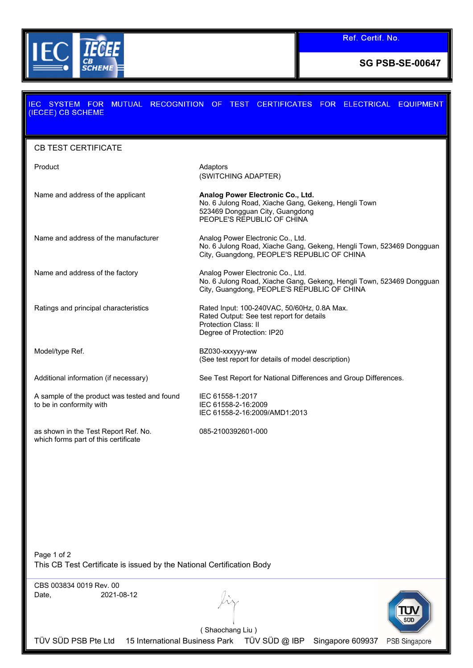

**SG PSB-SE-00647**

| SYSTEM FOR<br>IEC.<br>(IECEE) CB SCHEME                                                                  | MUTUAL RECOGNITION OF TEST CERTIFICATES FOR ELECTRICAL EQUIPMENT                                                                                          |
|----------------------------------------------------------------------------------------------------------|-----------------------------------------------------------------------------------------------------------------------------------------------------------|
| <b>CB TEST CERTIFICATE</b>                                                                               |                                                                                                                                                           |
| Product                                                                                                  | Adaptors<br>(SWITCHING ADAPTER)                                                                                                                           |
| Name and address of the applicant                                                                        | Analog Power Electronic Co., Ltd.<br>No. 6 Julong Road, Xiache Gang, Gekeng, Hengli Town<br>523469 Dongguan City, Guangdong<br>PEOPLE'S REPUBLIC OF CHINA |
| Name and address of the manufacturer                                                                     | Analog Power Electronic Co., Ltd.<br>No. 6 Julong Road, Xiache Gang, Gekeng, Hengli Town, 523469 Dongguan<br>City, Guangdong, PEOPLE'S REPUBLIC OF CHINA  |
| Name and address of the factory                                                                          | Analog Power Electronic Co., Ltd.<br>No. 6 Julong Road, Xiache Gang, Gekeng, Hengli Town, 523469 Dongguan<br>City, Guangdong, PEOPLE'S REPUBLIC OF CHINA  |
| Ratings and principal characteristics                                                                    | Rated Input: 100-240VAC, 50/60Hz, 0.8A Max.<br>Rated Output: See test report for details<br>Protection Class: II<br>Degree of Protection: IP20            |
| Model/type Ref.                                                                                          | BZ030-xxxyyy-ww<br>(See test report for details of model description)                                                                                     |
| Additional information (if necessary)                                                                    | See Test Report for National Differences and Group Differences.                                                                                           |
| A sample of the product was tested and found<br>to be in conformity with                                 | IEC 61558-1:2017<br>IEC 61558-2-16:2009<br>IEC 61558-2-16:2009/AMD1:2013                                                                                  |
| as shown in the Test Report Ref. No.<br>which forms part of this certificate                             | 085-2100392601-000                                                                                                                                        |
|                                                                                                          |                                                                                                                                                           |
|                                                                                                          |                                                                                                                                                           |
| Page 1 of 2<br>This CB Test Certificate is issued by the National Certification Body                     |                                                                                                                                                           |
| CBS 003834 0019 Rev. 00<br>2021-08-12<br>Date,                                                           | (Shaochang Liu)                                                                                                                                           |
| TÜV SÜD PSB Pte Ltd<br>15 International Business Park TÜV SÜD @ IBP<br>Singapore 609937<br>PSB Singapore |                                                                                                                                                           |